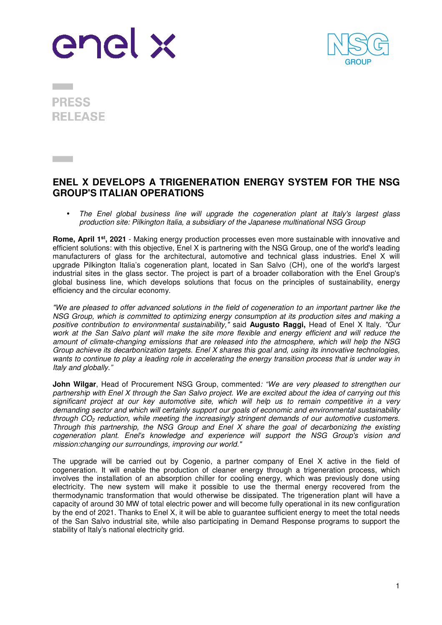



**PRESS RELEASE** 

## **ENEL X DEVELOPS A TRIGENERATION ENERGY SYSTEM FOR THE NSG GROUP'S ITALIAN OPERATIONS**

• *The Enel global business line will upgrade the cogeneration plant at Italy's largest glass production site: Pilkington Italia, a subsidiary of the Japanese multinational NSG Group* 

**Rome, April 1st, 2021** - Making energy production processes even more sustainable with innovative and efficient solutions: with this objective, Enel X is partnering with the NSG Group, one of the world's leading manufacturers of glass for the architectural, automotive and technical glass industries. Enel X will upgrade Pilkington Italia's cogeneration plant, located in San Salvo (CH), one of the world's largest industrial sites in the glass sector. The project is part of a broader collaboration with the Enel Group's global business line, which develops solutions that focus on the principles of sustainability, energy efficiency and the circular economy.

*"We are pleased to offer advanced solutions in the field of cogeneration to an important partner like the NSG Group, which is committed to optimizing energy consumption at its production sites and making a positive contribution to environmental sustainability,"* said **Augusto Raggi,** Head of Enel X Italy. *"Our work at the San Salvo plant will make the site more flexible and energy efficient and will reduce the amount of climate-changing emissions that are released into the atmosphere, which will help the NSG Group achieve its decarbonization targets. Enel X shares this goal and, using its innovative technologies,*  wants to continue to play a leading role in accelerating the energy transition process that is under way in *Italy and globally."* 

**John Wilgar**, Head of Procurement NSG Group, commented*: "We are very pleased to strengthen our partnership with Enel X through the San Salvo project. We are excited about the idea of carrying out this significant project at our key automotive site, which will help us to remain competitive in a very demanding sector and which will certainly support our goals of economic and environmental sustainability through CO2 reduction, while meeting the increasingly stringent demands of our automotive customers. Through this partnership, the NSG Group and Enel X share the goal of decarbonizing the existing cogeneration plant. Enel's knowledge and experience will support the NSG Group's vision and mission:changing our surroundings, improving our world."* 

The upgrade will be carried out by Cogenio, a partner company of Enel X active in the field of cogeneration. It will enable the production of cleaner energy through a trigeneration process, which involves the installation of an absorption chiller for cooling energy, which was previously done using electricity. The new system will make it possible to use the thermal energy recovered from the thermodynamic transformation that would otherwise be dissipated. The trigeneration plant will have a capacity of around 30 MW of total electric power and will become fully operational in its new configuration by the end of 2021. Thanks to Enel X, it will be able to guarantee sufficient energy to meet the total needs of the San Salvo industrial site, while also participating in Demand Response programs to support the stability of Italy's national electricity grid.